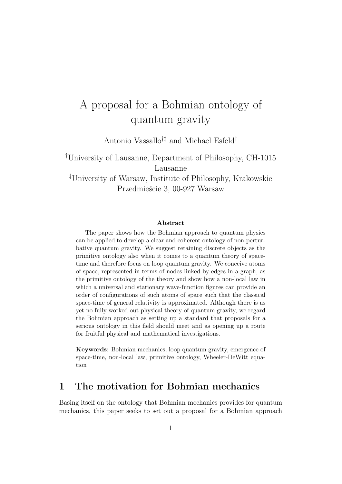# A proposal for a Bohmian ontology of quantum gravity

Antonio Vassallo*†‡* and Michael Esfeld*†*

*†*University of Lausanne, Department of Philosophy, CH-1015 Lausanne

*‡*University of Warsaw, Institute of Philosophy, Krakowskie Przedmieście 3, 00-927 Warsaw

#### Abstract

The paper shows how the Bohmian approach to quantum physics can be applied to develop a clear and coherent ontology of non-perturbative quantum gravity. We suggest retaining discrete objects as the primitive ontology also when it comes to a quantum theory of spacetime and therefore focus on loop quantum gravity. We conceive atoms of space, represented in terms of nodes linked by edges in a graph, as the primitive ontology of the theory and show how a non-local law in which a universal and stationary wave-function figures can provide an order of configurations of such atoms of space such that the classical space-time of general relativity is approximated. Although there is as yet no fully worked out physical theory of quantum gravity, we regard the Bohmian approach as setting up a standard that proposals for a serious ontology in this field should meet and as opening up a route for fruitful physical and mathematical investigations.

Keywords: Bohmian mechanics, loop quantum gravity, emergence of space-time, non-local law, primitive ontology, Wheeler-DeWitt equation

### <span id="page-0-0"></span>1 The motivation for Bohmian mechanics

Basing itself on the ontology that Bohmian mechanics provides for quantum mechanics, this paper seeks to set out a proposal for a Bohmian approach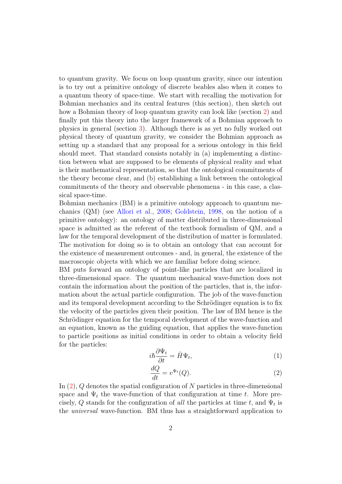to quantum gravity. We focus on loop quantum gravity, since our intention is to try out a primitive ontology of discrete beables also when it comes to a quantum theory of space-time. We start with recalling the motivation for Bohmian mechanics and its central features (this section), then sketch out how a Bohmian theory of loop quantum gravity can look like (section 2) and finally put this theory into the larger framework of a Bohmian approach to physics in general (section 3). Although there is as yet no fully worked out physical theory of quantum gravity, we consider the Bohmian appro[ac](#page-4-0)h as setting up a standard that any proposal for a serious ontology in this field should meet. That standar[d](#page-16-0) consists notably in (a) implementing a distinction between what are supposed to be elements of physical reality and what is their mathematical representation, so that the ontological commitments of the theory become clear, and (b) establishing a link between the ontological commitments of the theory and observable phenomena - in this case, a classical space-time.

Bohmian mechanics (BM) is a primitive ontology approach to quantum mechanics (QM) (see Allori et al., 2008; Goldstein, 1998, on the notion of a primitive ontology): an ontology of matter distributed in three-dimensional space is admitted as the referent of the textbook formalism of QM, and a law for the tempora[l developmen](#page-20-0)t [of th](#page-20-0)e [distributi](#page-21-0)o[n of m](#page-21-0)atter is formulated. The motivation for doing so is to obtain an ontology that can account for the existence of measurement outcomes - and, in general, the existence of the macroscopic objects with which we are familiar before doing science.

BM puts forward an ontology of point-like particles that are localized in three-dimensional space. The quantum mechanical wave-function does not contain the information about the position of the particles, that is, the information about the actual particle configuration. The job of the wave-function and its temporal development according to the Schrödinger equation is to fix the velocity of the particles given their position. The law of BM hence is the Schrödinger equation for the temporal development of the wave-function and an equation, known as the guiding equation, that applies the wave-function to particle positions as initial conditions in order to obtain a velocity field for the particles:

$$
i\hbar \frac{\partial \Psi_t}{\partial t} = \hat{H} \Psi_t,\tag{1}
$$

<span id="page-1-0"></span>
$$
\frac{dQ}{dt} = v^{\Psi_t}(Q). \tag{2}
$$

In (2), *Q* denotes the spatial configuration of *N* particles in three-dimensional space and  $\Psi_t$  the wave-function of that configuration at time *t*. More precisely, Q stands for the configuration of *all* the particles at time  $t$ , and  $\Psi_t$  is the *[u](#page-1-0)niversal* wave-function. BM thus has a straightforward application to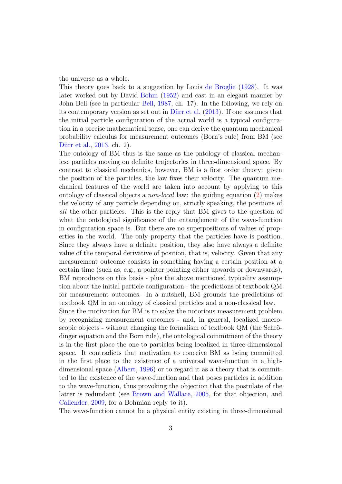the universe as a whole.

This theory goes back to a suggestion by Louis de Broglie (1928). It was later worked out by David Bohm (1952) and cast in an elegant manner by John Bell (see in particular Bell, 1987, ch. 17). In the following, we rely on its contemporary version as set out in Dürr et al. (2013). If on[e assu](#page-20-1)mes that the initial particle configur[ation o](#page-20-2)f [the](#page-20-2) actual w[orld is a ty](#page-20-1)pical configuration in a precise mathematic[al se](#page-20-3)n[se, on](#page-20-3)e can derive the quantum mechanical probability calculus for measurement [outcomes \(Born'](#page-21-1)s rule) from BM (see Dürr et al., 2013, ch. 2).

The ontology of BM thus is the same as the ontology of classical mechanics: particles moving on definite trajectories in three-dimensional space. By [contrast to classi](#page-21-1)cal mechanics, however, BM is a first order theory: given the position of the particles, the law fixes their velocity. The quantum mechanical features of the world are taken into account by applying to this ontology of classical objects a *non-local* law: the guiding equation (2) makes the velocity of any particle depending on, strictly speaking, the positions of *all* the other particles. This is the reply that BM gives to the question of what the ontological significance of the entanglement of the wave[-f](#page-1-0)unction in configuration space is. But there are no superpositions of values of properties in the world. The only property that the particles have is position. Since they always have a definite position, they also have always a definite value of the temporal derivative of position, that is, velocity. Given that any measurement outcome consists in something having a certain position at a certain time (such as, e.g., a pointer pointing either upwards or downwards), BM reproduces on this basis - plus the above mentioned typicality assumption about the initial particle configuration - the predictions of textbook QM for measurement outcomes. In a nutshell, BM grounds the predictions of textbook QM in an ontology of classical particles and a non-classical law.

Since the motivation for BM is to solve the notorious measurement problem by recognizing measurement outcomes - and, in general, localized macroscopic objects - without changing the formalism of textbook QM (the Schrödinger equation and the Born rule), the ontological commitment of the theory is in the first place the one to particles being localized in three-dimensional space. It contradicts that motivation to conceive BM as being committed in the first place to the existence of a universal wave-function in a highdimensional space (Albert, 1996) or to regard it as a theory that is committed to the existence of the wave-function and that poses particles in addition to the wave-function, thus provoking the objection that the postulate of the latter is redundant [\(see](#page-19-0) B[rown](#page-19-0) and Wallace, 2005, for that objection, and Callender, 2009, for a Bohmian reply to it).

The wave-function cannot be a physical entity existing in three-dimensional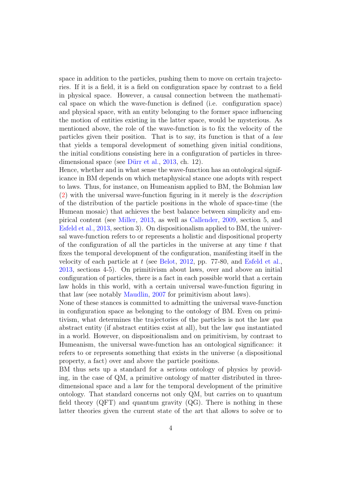space in addition to the particles, pushing them to move on certain trajectories. If it is a field, it is a field on configuration space by contrast to a field in physical space. However, a causal connection between the mathematical space on which the wave-function is defined (i.e. configuration space) and physical space, with an entity belonging to the former space influencing the motion of entities existing in the latter space, would be mysterious. As mentioned above, the role of the wave-function is to fix the velocity of the particles given their position. That is to say, its function is that of a *law* that yields a temporal development of something given initial conditions, the initial conditions consisting here in a configuration of particles in threedimensional space (see Dürr et al., 2013, ch. 12).

Hence, whether and in what sense the wave-function has an ontological significance in BM depends on which metaphysical stance one adopts with respect to laws. Thus, for insta[nce, on Humeanis](#page-21-1)m applied to BM, the Bohmian law (2) with the universal wave-function figuring in it merely is the *description* of the distribution of the particle positions in the whole of space-time (the Humean mosaic) that achieves the best balance between simplicity and em[pir](#page-1-0)ical content (see Miller, 2013, as well as Callender, 2009, section 5, and Esfeld et al., 2013, section 3). On dispositionalism applied to BM, the universal wave-function refers to or represents a holistic and dispositional property of the configuration [of all](#page-22-0) [the p](#page-22-0)articles in t[he univer](#page-20-5)s[e at a](#page-20-5)ny time *t* that [fixes the temporal](#page-21-2) development of the configuration, manifesting itself in the velocity of each particle at *t* (see Belot, 2012, pp. 77-80, and Esfeld et al., 2013, sections 4-5). On primitivism about laws, over and above an initial configuration of particles, there is a fact in each possible world that a certain law holds in this world, with a c[ertain](#page-20-6) [unive](#page-20-6)rsal wave-functio[n figuring in](#page-21-2) [that](#page-21-2) law (see notably Maudlin, 2007 for primitivism about laws).

None of these stances is committed to admitting the universal wave-function in configuration space as belonging to the ontology of BM. Even on primitivism, what determi[nes the trajecto](#page-21-3)ries of the particles is not the law *qua* abstract entity (if abstract entities exist at all), but the law *qua* instantiated in a world. However, on dispositionalism and on primitivism, by contrast to Humeanism, the universal wave-function has an ontological significance: it refers to or represents something that exists in the universe (a dispositional property, a fact) over and above the particle positions.

BM thus sets up a standard for a serious ontology of physics by providing, in the case of QM, a primitive ontology of matter distributed in threedimensional space and a law for the temporal development of the primitive ontology. That standard concerns not only QM, but carries on to quantum field theory  $(QFT)$  and quantum gravity  $(QG)$ . There is nothing in these latter theories given the current state of the art that allows to solve or to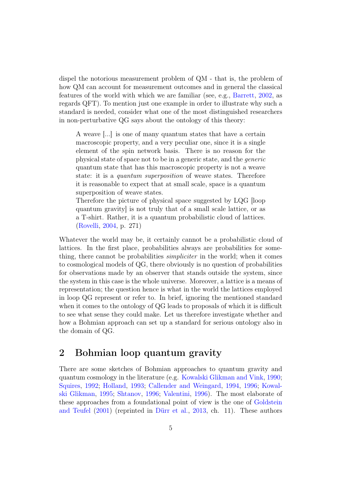dispel the notorious measurement problem of QM - that is, the problem of how QM can account for measurement outcomes and in general the classical features of the world with which we are familiar (see, e.g., Barrett, 2002, as regards QFT). To mention just one example in order to illustrate why such a standard is needed, consider what one of the most distinguished researchers in non-perturbative QG says about the ontology of this th[eory:](#page-20-7)

A weave [...] is one of many quantum states that have a certain macroscopic property, and a very peculiar one, since it is a single element of the spin network basis. There is no reason for the physical state of space not to be in a generic state, and the *generic* quantum state that has this macroscopic property is not a weave state: it is a *quantum superposition* of weave states. Therefore it is reasonable to expect that at small scale, space is a quantum superposition of weave states.

Therefore the picture of physical space suggested by LQG [loop quantum gravity] is not truly that of a small scale lattice, or as a T-shirt. Rather, it is a quantum probabilistic cloud of lattices. (Rovelli, 2004, p. 271)

Whatever the world may be, it certainly cannot be a probabilistic cloud of lattices. In the first place, probabilities always are probabilities for something, [there c](#page-22-1)a[nnot](#page-22-1) be probabilities *simpliciter* in the world; when it comes to cosmological models of QG, there obviously is no question of probabilities for observations made by an observer that stands outside the system, since the system in this case is the whole universe. Moreover, a lattice is a means of representation; the question hence is what in the world the lattices employed in loop QG represent or refer to. In brief, ignoring the mentioned standard when it comes to the ontology of QG leads to proposals of which it is difficult to see what sense they could make. Let us therefore investigate whether and how a Bohmian approach can set up a standard for serious ontology also in the domain of QG.

### 2 Bohmian loop quantum gravity

<span id="page-4-0"></span>There are some sketches of Bohmian approaches to quantum gravity and quantum cosmology in the literature (e.g. Kowalski Glikman and Vink, 1990; Squires, 1992; Holland, 1993; Callender and Weingard, 1994, 1996; Kowalski Glikman, 1995; Shtanov, 1996; Valentini, 1996). The most elaborate of these approaches from a foundational po[int of view is the one of](#page-21-4) Gol[dstein](#page-21-4) [and Teufel](#page-22-2) (2[001\) \(rep](#page-21-5)r[inted](#page-21-5) in [Dürr et al.,](#page-20-8) 2013, ch. [11\).](#page-20-8) [These](#page-20-9) [authors](#page-21-6)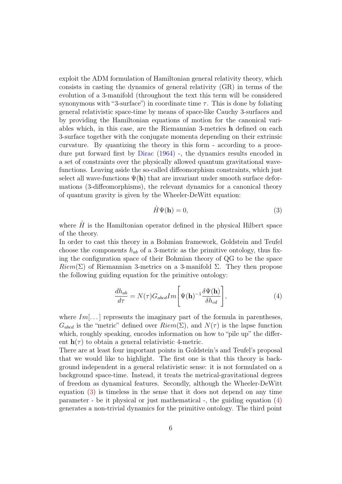exploit the ADM formulation of Hamiltonian general relativity theory, which consists in casting the dynamics of general relativity (GR) in terms of the evolution of a 3-manifold (throughout the text this term will be considered synonymous with "3-surface") in coordinate time  $\tau$ . This is done by foliating general relativistic space-time by means of space-like Cauchy 3-surfaces and by providing the Hamiltonian equations of motion for the canonical variables which, in this case, are the Riemannian 3-metrics **h** defined on each 3-surface together with the conjugate momenta depending on their extrinsic curvature. By quantizing the theory in this form - according to a procedure put forward first by Dirac (1964) -, the dynamics results encoded in a set of constraints over the physically allowed quantum gravitational wavefunctions. Leaving aside the so-called diffeomorphism constraints, which just select all wave-functions  $\Psi(\mathbf{h})$  tha[t are](#page-21-7) invariant under smooth surface deformations (3-diffeomorphis[ms\), th](#page-21-7)e relevant dynamics for a canonical theory of quantum gravity is given by the Wheeler-DeWitt equation:

$$
\hat{H}\Psi(\mathbf{h}) = 0,\tag{3}
$$

where  $\hat{H}$  is the Hamiltonian operator defined in the physical Hilbert space of the theory.

In order to cast this theory in a Bohmian framework, Goldstein and Teufel choose the components  $h_{ab}$  of a 3-metric as the primitive ontology, thus fixing the configuration space of their Bohmian theory of QG to be the space  $Riem(\Sigma)$  of Riemannian 3-metrics on a 3-manifold  $\Sigma$ . They then propose the following guiding equation for the primitive ontology:

<span id="page-5-0"></span>
$$
\frac{dh_{ab}}{d\tau} = N(\tau)G_{abcd}Im\bigg[\Psi(\mathbf{h})^{-1}\frac{\delta\Psi(\mathbf{h})}{\delta h_{cd}}\bigg],\tag{4}
$$

where  $Im[...]$  represents the imaginary part of the formula in parentheses,  $G_{abcd}$  is the "metric" defined over  $Riem(\Sigma)$ , and  $N(\tau)$  is the lapse function which, roughly speaking, encodes information on how to "pile up" the different  $h(\tau)$  to obtain a general relativistic 4-metric.

There are at least four important points in Goldstein's and Teufel's proposal that we would like to highlight. The first one is that this theory is background independent in a general relativistic sense: it is not formulated on a background space-time. Instead, it treats the metrical-gravitational degrees of freedom as dynamical features. Secondly, although the Wheeler-DeWitt equation (3) is timeless in the sense that it does not depend on any time parameter - be it physical or just mathematical -, the guiding equation (4) generates a non-trivial dynamics for the primitive ontology. The third point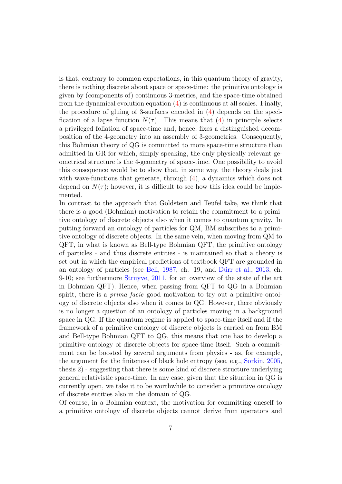is that, contrary to common expectations, in this quantum theory of gravity, there is nothing discrete about space or space-time: the primitive ontology is given by (components of) continuous 3-metrics, and the space-time obtained from the dynamical evolution equation  $(4)$  is continuous at all scales. Finally, the procedure of gluing of 3-surfaces encoded in (4) depends on the specification of a lapse function  $N(\tau)$ . This means that (4) in principle selects a privileged foliation of space-time and[, h](#page-5-0)ence, fixes a distinguished decomposition of the 4-geometry into an assembly of 3-g[eo](#page-5-0)metries. Consequently, this Bohmian theory of QG is committed to more spa[ce](#page-5-0)-time structure than admitted in GR for which, simply speaking, the only physically relevant geometrical structure is the 4-geometry of space-time. One possibility to avoid this consequence would be to show that, in some way, the theory deals just with wave-functions that generate, through (4), a dynamics which does not depend on  $N(\tau)$ ; however, it is difficult to see how this idea could be implemented.

In contrast to the approach that Goldstein [an](#page-5-0)d Teufel take, we think that there is a good (Bohmian) motivation to retain the commitment to a primitive ontology of discrete objects also when it comes to quantum gravity. In putting forward an ontology of particles for QM, BM subscribes to a primitive ontology of discrete objects. In the same vein, when moving from QM to QFT, in what is known as Bell-type Bohmian QFT, the primitive ontology of particles - and thus discrete entities - is maintained so that a theory is set out in which the empirical predictions of textbook QFT are grounded in an ontology of particles (see Bell, 1987, ch. 19, and Dürr et al., 2013, ch. 9-10; see furthermore Struyve, 2011, for an overview of the state of the art in Bohmian QFT). Hence, when passing from QFT to QG in a Bohmian spirit, there is a *prima facie* [good moti](#page-20-3)vation to try [out a primi](#page-21-1)t[ive on](#page-21-1)tology of discrete object[s also when it](#page-22-3) comes to QG. However, there obviously is no longer a question of an ontology of particles moving in a background space in QG. If the quantum regime is applied to space-time itself and if the framework of a primitive ontology of discrete objects is carried on from BM and Bell-type Bohmian QFT to QG, this means that one has to develop a primitive ontology of discrete objects for space-time itself. Such a commitment can be boosted by several arguments from physics - as, for example, the argument for the finiteness of black hole entropy (see, e.g., Sorkin, 2005, thesis 2) - suggesting that there is some kind of discrete structure underlying general relativistic space-time. In any case, given that the situation in QG is currently open, we take it to be worthwhile to consider a primi[tive on](#page-22-4)t[ology](#page-22-4) of discrete entities also in the domain of QG.

Of course, in a Bohmian context, the motivation for committing oneself to a primitive ontology of discrete objects cannot derive from operators and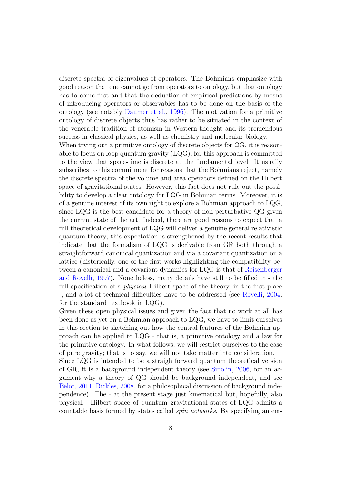discrete spectra of eigenvalues of operators. The Bohmians emphasize with good reason that one cannot go from operators to ontology, but that ontology has to come first and that the deduction of empirical predictions by means of introducing operators or observables has to be done on the basis of the ontology (see notably Daumer et al., 1996). The motivation for a primitive ontology of discrete objects thus has rather to be situated in the context of the venerable tradition of atomism in Western thought and its tremendous success in classical ph[ysics, as well as chem](#page-20-10)istry and molecular biology.

When trying out a primitive ontology of discrete objects for QG, it is reasonable to focus on loop quantum gravity (LQG), for this approach is committed to the view that space-time is discrete at the fundamental level. It usually subscribes to this commitment for reasons that the Bohmians reject, namely the discrete spectra of the volume and area operators defined on the Hilbert space of gravitational states. However, this fact does not rule out the possibility to develop a clear ontology for LQG in Bohmian terms. Moreover, it is of a genuine interest of its own right to explore a Bohmian approach to LQG, since LQG is the best candidate for a theory of non-perturbative QG given the current state of the art. Indeed, there are good reasons to expect that a full theoretical development of LQG will deliver a genuine general relativistic quantum theory; this expectation is strengthened by the recent results that indicate that the formalism of LQG is derivable from GR both through a straightforward canonical quantization and via a covariant quantization on a lattice (historically, one of the first works highlighting the compatibility between a canonical and a covariant dynamics for LQG is that of Reisenberger and Rovelli, 1997). Nonetheless, many details have still to be filled in - the full specification of a *physical* Hilbert space of the theory, in the first place -, and a lot of technical difficulties have to be addressed (see [Rovelli,](#page-22-5) 2004, [for the standard t](#page-22-5)extbook in LQG).

Given these open physical issues and given the fact that no work at all has been done as yet on a Bohmian approach to LQG, we have to l[imit ou](#page-22-1)r[selves](#page-22-1) in this section to sketching out how the central features of the Bohmian approach can be applied to LQG - that is, a primitive ontology and a law for the primitive ontology. In what follows, we will restrict ourselves to the case of pure gravity; that is to say, we will not take matter into consideration.

Since LQG is intended to be a straightforward quantum theoretical version of GR, it is a background independent theory (see Smolin, 2006, for an argument why a theory of QG should be background independent, and see Belot, 2011; Rickles, 2008, for a philosophical discussion of background independence). The - at the present stage just kinema[tical bu](#page-22-6)t[, hop](#page-22-6)efully, also physical - Hilbert space of quantum gravitational states of LQG admits a [count](#page-20-11)a[ble b](#page-20-11)[asis formed by](#page-22-7) states called *spin networks*. By specifying an em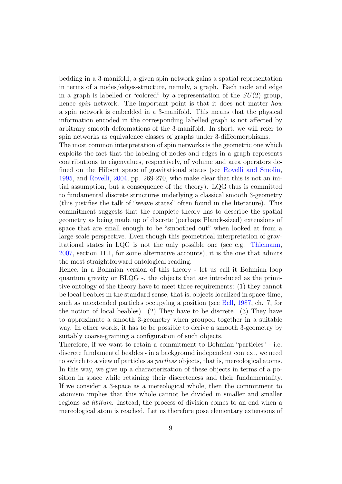bedding in a 3-manifold, a given spin network gains a spatial representation in terms of a nodes/edges-structure, namely, a graph. Each node and edge in a graph is labelled or "colored" by a representation of the *SU*(2) group, hence *spin* network. The important point is that it does not matter *how* a spin network is embedded in a 3-manifold. This means that the physical information encoded in the corresponding labelled graph is not affected by arbitrary smooth deformations of the 3-manifold. In short, we will refer to spin networks as equivalence classes of graphs under 3-diffeomorphisms.

The most common interpretation of spin networks is the geometric one which exploits the fact that the labeling of nodes and edges in a graph represents contributions to eigenvalues, respectively, of volume and area operators defined on the Hilbert space of gravitational states (see Rovelli and Smolin, 1995, and Rovelli, 2004, pp. 269-270, who make clear that this is not an initial assumption, but a consequence of the theory). LQG thus is committed to fundamental discrete structures underlying a classical smooth 3-geometry [\(this](#page-22-8) justi[fies the](#page-22-1) [talk o](#page-22-1)f "weave states" often found in [the literature\). This](#page-22-8) commitment suggests that the complete theory has to describe the spatial geometry as being made up of discrete (perhaps Planck-sized) extensions of space that are small enough to be "smoothed out" when looked at from a large-scale perspective. Even though this geometrical interpretation of gravitational states in LQG is not the only possible one (see e.g. Thiemann, 2007, section 11.1, for some alternative accounts), it is the one that admits the most straightforward ontological reading.

Hence, in a Bohmian version of this theory - let us call it Bo[hmian loop](#page-22-9) [quan](#page-22-9)tum gravity or BLQG -, the objects that are introduced as the primitive ontology of the theory have to meet three requirements: (1) they cannot be local beables in the standard sense, that is, objects localized in space-time, such as unextended particles occupying a position (see Bell, 1987, ch. 7, for the notion of local beables). (2) They have to be discrete. (3) They have to approximate a smooth 3-geometry when grouped together in a suitable way. In other words, it has to be possible to derive a s[moot](#page-20-3)h 3[-ge](#page-20-3)ometry by suitably coarse-graining a configuration of such objects.

Therefore, if we want to retain a commitment to Bohmian "particles" - i.e. discrete fundamental beables - in a background independent context, we need to switch to a view of particles as *partless* objects, that is, mereological atoms. In this way, we give up a characterization of these objects in terms of a position in space while retaining their discreteness and their fundamentality. If we consider a 3-space as a mereological whole, then the commitment to atomism implies that this whole cannot be divided in smaller and smaller regions *ad libitum*. Instead, the process of division comes to an end when a mereological atom is reached. Let us therefore pose elementary extensions of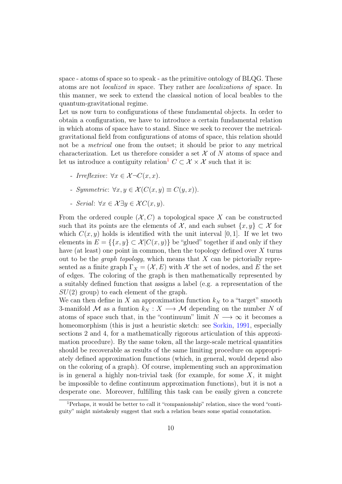space - atoms of space so to speak - as the primitive ontology of BLQG. These atoms are not *localized in* space. They rather are *localizations of* space. In this manner, we seek to extend the classical notion of local beables to the quantum-gravitational regime.

Let us now turn to configurations of these fundamental objects. In order to obtain a configuration, we have to introduce a certain fundamental relation in which atoms of space have to stand. Since we seek to recover the metricalgravitational field from configurations of atoms of space, this relation should not be a *metrical* one from the outset; it should be prior to any metrical characterization. Let us therefore consider a set  $\mathcal X$  of  $N$  atoms of space and let us introduce a contiguity relation<sup>1</sup>  $C \subset \mathcal{X} \times \mathcal{X}$  such that it is:

- *Irreflexive*: *∀x ∈ X ¬C*(*x, x*).
- *− Symmetric*:  $\forall x, y \in \mathcal{X}(C(x, y)) \equiv C(y, x)$ .
- *Serial*: *∀x ∈ X ∃y ∈ X C*(*x, y*).

From the ordered couple  $(X, C)$  a topological space X can be constructed such that its points are the elements of *X*, and each subset  $\{x, y\} \subset \mathcal{X}$  for which  $C(x, y)$  holds is identified with the unit interval [0, 1]. If we let two elements in  $E = \{ \{x, y\} \subset \mathcal{X} | C(x, y) \}$  be "glued" together if and only if they have (at least) one point in common, then the topology defined over *X* turns out to be the *graph topology*, which means that *X* can be pictorially represented as a finite graph  $\Gamma_X = (\mathcal{X}, E)$  with  $\mathcal X$  the set of nodes, and E the set of edges. The coloring of the graph is then mathematically represented by a suitably defined function that assigns a label (e.g. a representation of the *SU*(2) group) to each element of the graph.

We can then define in  $X$  an approximation function  $k_N$  to a "target" smooth 3-manifold *M* as a funtion  $k_N : X \longrightarrow M$  depending on the number *N* of atoms of space such that, in the "continuum" limit  $N \longrightarrow \infty$  it becomes a homeomorphism (this is just a heuristic sketch: see Sorkin, 1991, especially sections 2 and 4, for a mathematically rigorous articulation of this approximation procedure). By the same token, all the large-scale metrical quantities should be recoverable as results of the same limiting [procedure on](#page-22-10) appropriately defined approximation functions (which, in general, would depend also on the coloring of a graph). Of course, implementing such an approximation is in general a highly non-trivial task (for example, for some *X*, it might be impossible to define continuum approximation functions), but it is not a desperate one. Moreover, fulfilling this task can be easily given a concrete

<span id="page-9-0"></span><sup>1</sup>Perhaps, it would be better to call it "companionship" relation, since the word "contiguity" might mistakenly suggest that such a relation bears some spatial connotation.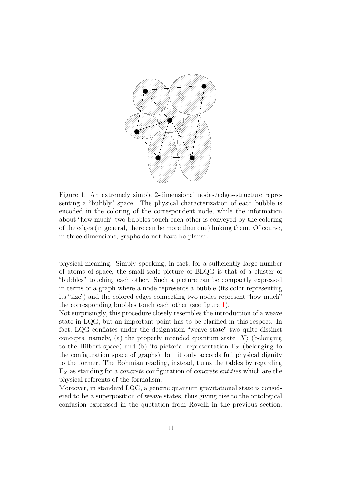

<span id="page-10-0"></span>Figure 1: An extremely simple 2-dimensional nodes/edges-structure representing a "bubbly" space. The physical characterization of each bubble is encoded in the coloring of the correspondent node, while the information about "how much" two bubbles touch each other is conveyed by the coloring of the edges (in general, there can be more than one) linking them. Of course, in three dimensions, graphs do not have be planar.

physical meaning. Simply speaking, in fact, for a sufficiently large number of atoms of space, the small-scale picture of BLQG is that of a cluster of "bubbles" touching each other. Such a picture can be compactly expressed in terms of a graph where a node represents a bubble (its color representing its "size") and the colored edges connecting two nodes represent "how much" the corresponding bubbles touch each other (see figure 1).

Not surprisingly, this procedure closely resembles the introduction of a weave state in LQG, but an important point has to be clarified in this respect. In fact, LQG conflates under the designation "weave stat[e"](#page-10-0) two quite distinct concepts, namely, (a) the properly intended quantum state  $|X\rangle$  (belonging to the Hilbert space) and (b) its pictorial representation  $\Gamma_X$  (belonging to the configuration space of graphs), but it only accords full physical dignity to the former. The Bohmian reading, instead, turns the tables by regarding Γ*<sup>X</sup>* as standing for a *concrete* configuration of *concrete entities* which are the physical referents of the formalism.

Moreover, in standard LQG, a generic quantum gravitational state is considered to be a superposition of weave states, thus giving rise to the ontological confusion expressed in the quotation from Rovelli in the previous section.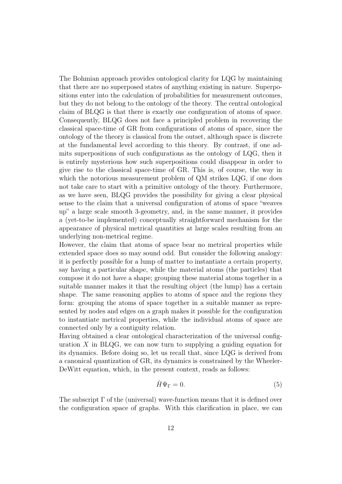The Bohmian approach provides ontological clarity for LQG by maintaining that there are no superposed states of anything existing in nature. Superpositions enter into the calculation of probabilities for measurement outcomes, but they do not belong to the ontology of the theory. The central ontological claim of BLQG is that there is exactly one configuration of atoms of space. Consequently, BLQG does not face a principled problem in recovering the classical space-time of GR from configurations of atoms of space, since the ontology of the theory is classical from the outset, although space is discrete at the fundamental level according to this theory. By contrast, if one admits superpositions of such configurations as the ontology of LQG, then it is entirely mysterious how such superpositions could disappear in order to give rise to the classical space-time of GR. This is, of course, the way in which the notorious measurement problem of QM strikes LQG, if one does not take care to start with a primitive ontology of the theory. Furthermore, as we have seen, BLQG provides the possibility for giving a clear physical sense to the claim that a universal configuration of atoms of space "weaves up" a large scale smooth 3-geometry, and, in the same manner, it provides a (yet-to-be implemented) conceptually straightforward mechanism for the appearance of physical metrical quantities at large scales resulting from an underlying non-metrical regime.

However, the claim that atoms of space bear no metrical properties while extended space does so may sound odd. But consider the following analogy: it is perfectly possible for a lump of matter to instantiate a certain property, say having a particular shape, while the material atoms (the particles) that compose it do not have a shape; grouping these material atoms together in a suitable manner makes it that the resulting object (the lump) has a certain shape. The same reasoning applies to atoms of space and the regions they form: grouping the atoms of space together in a suitable manner as represented by nodes and edges on a graph makes it possible for the configuration to instantiate metrical properties, while the individual atoms of space are connected only by a contiguity relation.

Having obtained a clear ontological characterization of the universal configuration *X* in BLQG, we can now turn to supplying a guiding equation for its dynamics. Before doing so, let us recall that, since LQG is derived from a canonical quantization of GR, its dynamics is constrained by the Wheeler-DeWitt equation, which, in the present context, reads as follows:

<span id="page-11-0"></span>
$$
\hat{H}\Psi_{\Gamma} = 0. \tag{5}
$$

The subscript  $\Gamma$  of the (universal) wave-function means that it is defined over the configuration space of graphs. With this clarification in place, we can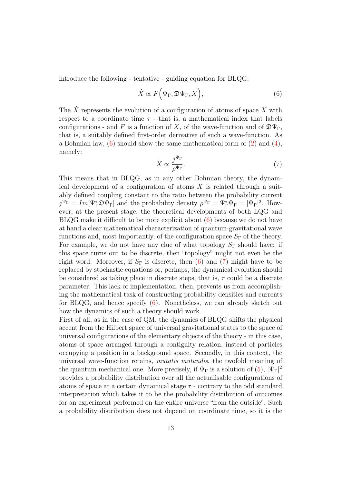introduce the following - tentative - guiding equation for BLQG:

<span id="page-12-0"></span>
$$
\dot{X} \propto F\Big(\Psi_{\Gamma}, \mathfrak{D}\Psi_{\Gamma}, X\Big),\tag{6}
$$

The *X*˙ represents the evolution of a configuration of atoms of space *X* with respect to a coordinate time  $\tau$  - that is, a mathematical index that labels configurations - and *F* is a function of *X*, of the wave-function and of  $\mathfrak{D}\Psi_{\Gamma}$ , that is, a suitably defined first-order derivative of such a wave-function. As a Bohmian law,  $(6)$  should show the same mathematical form of  $(2)$  and  $(4)$ , namely:

<span id="page-12-1"></span>
$$
\dot{X} \propto \frac{j^{\Psi_{\Gamma}}}{\rho^{\Psi_{\Gamma}}}.\tag{7}
$$

This means that in BLQG, as in any other Bohmian theory, the dynamical development of a configuration of atoms *X* is related through a suitably defined coupling constant to the ratio between the probability current  $j^{\Psi_{\Gamma}} = Im[\Psi_{\Gamma}^* \mathfrak{D} \Psi_{\Gamma}]$  and the probability density  $\rho^{\Psi_{\Gamma}} = \Psi_{\Gamma}^* \Psi_{\Gamma} = |\Psi_{\Gamma}|^2$ . However, at the present stage, the theoretical developments of both LQG and BLQG make it difficult to be more explicit about (6) because we do not have at hand a clear mathematical characterization of quantum-gravitational wave functions and, most importantly, of the configuration space  $S_{\Gamma}$  of the theory. For exam[p](#page-12-0)le, we do not have any clue of what topology  $S_{\Gamma}$  should have: if this space turns out to be discrete, then "topology" might not even be the right word. Moreover, if  $S_{\Gamma}$  is discrete, then (6) and (7) might have to be replaced by stochastic equations or, perhaps, the dynamical evolution should be considered as taking place in discrete steps, that is,  $\tau$  could be a discrete parameter. This lack of implementation, then, [pr](#page-12-0)events [u](#page-12-1)s from accomplishing the mathematical task of constructing probability densities and currents for BLQG, and hence specify (6). Nonetheless, we can already sketch out how the dynamics of such a theory should work.

First of all, as in the case of QM, the dynamics of BLQG shifts the physical accent from the Hilbert space of [u](#page-12-0)niversal gravitational states to the space of universal configurations of the elementary objects of the theory - in this case, atoms of space arranged through a contiguity relation, instead of particles occupying a position in a background space. Secondly, in this context, the universal wave-function retains, *mutatis mutandis*, the twofold meaning of the quantum mechanical one. More precisely, if  $\Psi_{\Gamma}$  is a solution of (5),  $|\Psi_{\Gamma}|^2$ provides a probability distribution over all the actualisable configurations of atoms of space at a certain dynamical stage *τ* - contrary to the odd standard interpretation which takes it to be the probability distribution of [ou](#page-11-0)tcomes for an experiment performed on the entire universe "from the outside". Such a probability distribution does not depend on coordinate time, so it is the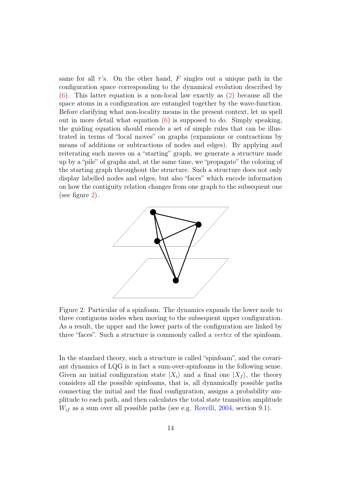same for all  $\tau$ 's. On the other hand,  $F$  singles out a unique path in the configuration space corresponding to the dynamical evolution described by (6). This latter equation is a non-local law exactly as (2) because all the space atoms in a configuration are entangled together by the wave-function. Before clarifying what non-locality means in the present context, let us spell [ou](#page-12-0)t in more detail what equation  $(6)$  is supposed to do. [S](#page-1-0)imply speaking, the guiding equation should encode a set of simple rules that can be illustrated in terms of "local moves" on graphs (expansions or contractions by means of additions or subtractions [o](#page-12-0)f nodes and edges). By applying and reiterating such moves on a "starting" graph, we generate a structure made up by a "pile" of graphs and, at the same time, we "propagate" the coloring of the starting graph throughout the structure. Such a structure does not only display labelled nodes and edges, but also "faces" which encode information on how the contiguity relation changes from one graph to the subsequent one (see figure 2).



Figure 2: Particular of a spinfoam. The dynamics expands the lower node to three contiguous nodes when moving to the subsequent upper configuration. As a result, the upper and the lower parts of the configuration are linked by three "faces". Such a structure is commonly called a *vertex* of the spinfoam.

In the standard theory, such a structure is called "spinfoam", and the covariant dynamics of LQG is in fact a sum-over-spinfoams in the following sense. Given an initial configuration state  $|X_i\rangle$  and a final one  $|X_f\rangle$ , the theory considers all the possible spinfoams, that is, all dynamically possible paths connecting the initial and the final configuration, assigns a probability amplitude to each path, and then calculates the total state transition amplitude  $W_{if}$  as a sum over all possible paths (see e.g. Rovelli, 2004, section 9.1).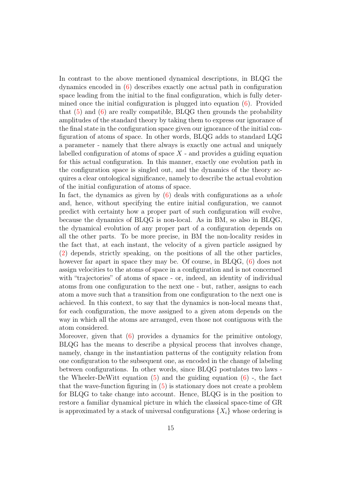In contrast to the above mentioned dynamical descriptions, in BLQG the dynamics encoded in (6) describes exactly one actual path in configuration space leading from the initial to the final configuration, which is fully determined once the initial configuration is plugged into equation  $(6)$ . Provided that  $(5)$  and  $(6)$  are r[ea](#page-12-0)lly compatible, BLQG then grounds the probability amplitudes of the standard theory by taking them to express our ignorance of the final state in the configuration space given our ignorance of t[he](#page-12-0) initial configura[ti](#page-11-0)on of [ato](#page-12-0)ms of space. In other words, BLQG adds to standard LQG a parameter - namely that there always is exactly one actual and uniquely labelled configuration of atoms of space *X* - and provides a guiding equation for this actual configuration. In this manner, exactly one evolution path in the configuration space is singled out, and the dynamics of the theory acquires a clear ontological significance, namely to describe the actual evolution of the initial configuration of atoms of space.

In fact, the dynamics as given by (6) deals with configurations as a *whole* and, hence, without specifying the entire initial configuration, we cannot predict with certainty how a proper part of such configuration will evolve, because the dynamics of BLQG is [no](#page-12-0)n-local. As in BM, so also in BLQG, the dynamical evolution of any proper part of a configuration depends on all the other parts. To be more precise, in BM the non-locality resides in the fact that, at each instant, the velocity of a given particle assigned by (2) depends, strictly speaking, on the positions of all the other particles, however far apart in space they may be. Of course, in BLQG, (6) does not assign velocities to the atoms of space in a configuration and is not concerned [wi](#page-1-0)th "trajectories" of atoms of space - or, indeed, an identity of individual atoms from one configuration to the next one - but, rather, assi[gn](#page-12-0)s to each atom a move such that a transition from one configuration to the next one is achieved. In this context, to say that the dynamics is non-local means that, for each configuration, the move assigned to a given atom depends on the way in which all the atoms are arranged, even those not contiguous with the atom considered.

Moreover, given that  $(6)$  provides a dynamics for the primitive ontology, BLQG has the means to describe a physical process that involves change, namely, change in the instantiation patterns of the contiguity relation from one configuration to the [s](#page-12-0)ubsequent one, as encoded in the change of labeling between configurations. In other words, since BLQG postulates two laws the Wheeler-DeWitt equation  $(5)$  and the guiding equation  $(6)$  -, the fact that the wave-function figuring in  $(5)$  is stationary does not create a problem for BLQG to take change into account. Hence, BLQG is in the position to restore a familiar dynamical pic[tu](#page-11-0)re in which the classical spa[ce](#page-12-0)-time of GR is approximated by a stack of unive[rs](#page-11-0)al configurations  $\{X_i\}$  whose ordering is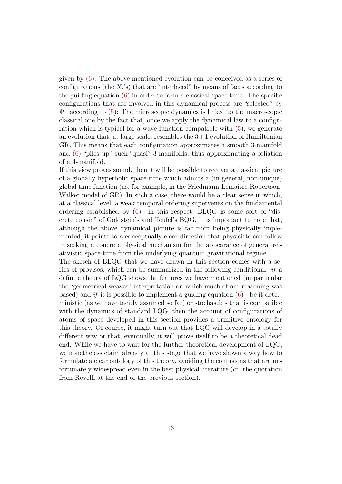given by (6). The above mentioned evolution can be conceived as a series of configurations (the  $X_i$ 's) that are "interlaced" by means of faces according to the guiding equation  $(6)$  in order to form a classical space-time. The specific configura[tio](#page-12-0)ns that are involved in this dynamical process are "selected" by  $\Psi_{\Gamma}$  according to (5): The microscopic dynamics is linked to the macroscopic classical one by the fa[ct](#page-12-0) that, once we apply the dynamical law to a configuration which is typical for a wave-function compatible with (5), we generate an evolution that, [a](#page-11-0)t large scale, resembles the  $3+1$  evolution of Hamiltonian GR. This means that each configuration approximates a smooth 3-manifold and (6) "piles up" such "quasi" 3-manifolds, thus approxim[ati](#page-11-0)ng a foliation of a 4-manifold.

If this view proves sound, then it will be possible to recover a classical picture of a [glo](#page-12-0)bally hyperbolic space-time which admits a (in general, non-unique) global time function (as, for example, in the Friedmann-Lemaître-Robertson-Walker model of GR). In such a case, there would be a clear sense in which, at a classical level, a weak temporal ordering supervenes on the fundamental ordering established by  $(6)$ : in this respect, BLQG is some sort of "discrete cousin" of Goldstein's and Teufel's BQG. It is important to note that, although the above dynamical picture is far from being physically implemented, it points to a co[nce](#page-12-0)ptually clear direction that physicists can follow in seeking a concrete physical mechanism for the appearance of general relativistic space-time from the underlying quantum gravitational regime.

The sketch of BLQG that we have drawn in this section comes with a series of provisos, which can be summarized in the following conditional: *if* a definite theory of LQG shows the features we have mentioned (in particular the "geometrical weaves" interpretation on which much of our reasoning was based) and *if* it is possible to implement a guiding equation  $(6)$  - be it deterministic (as we have tacitly assumed so far) or stochastic - that is compatible with the dynamics of standard LQG, then the account of configurations of atoms of space developed in this section provides a primiti[ve](#page-12-0) ontology for this theory. Of course, it might turn out that LQG will develop in a totally different way or that, eventually, it will prove itself to be a theoretical dead end. While we have to wait for the further theoretical development of LQG, we nonetheless claim already at this stage that we have shown a way how to formulate a clear ontology of this theory, avoiding the confusions that are unfortunately widespread even in the best physical literature (cf. the quotation from Rovelli at the end of the previous section).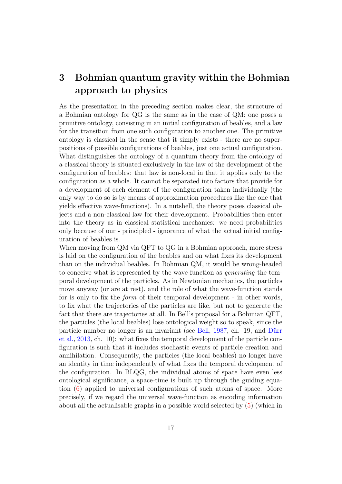3 Bohmian quantum gravity within the Bohmian approach to physics

<span id="page-16-0"></span>As the presentation in the preceding section makes clear, the structure of a Bohmian ontology for QG is the same as in the case of QM: one poses a primitive ontology, consisting in an initial configuration of beables, and a law for the transition from one such configuration to another one. The primitive ontology is classical in the sense that it simply exists - there are no superpositions of possible configurations of beables, just one actual configuration. What distinguishes the ontology of a quantum theory from the ontology of a classical theory is situated exclusively in the law of the development of the configuration of beables: that law is non-local in that it applies only to the configuration as a whole. It cannot be separated into factors that provide for a development of each element of the configuration taken individually (the only way to do so is by means of approximation procedures like the one that yields effective wave-functions). In a nutshell, the theory poses classical objects and a non-classical law for their development. Probabilities then enter into the theory as in classical statistical mechanics: we need probabilities only because of our - principled - ignorance of what the actual initial configuration of beables is.

When moving from QM via QFT to QG in a Bohmian approach, more stress is laid on the configuration of the beables and on what fixes its development than on the individual beables. In Bohmian QM, it would be wrong-headed to conceive what is represented by the wave-function as *generating* the temporal development of the particles. As in Newtonian mechanics, the particles move anyway (or are at rest), and the role of what the wave-function stands for is only to fix the *form* of their temporal development - in other words, to fix what the trajectories of the particles are like, but not to generate the fact that there are trajectories at all. In Bell's proposal for a Bohmian QFT, the particles (the local beables) lose ontological weight so to speak, since the particle number no longer is an invariant (see Bell, 1987, ch. 19, and Dürr et al., 2013, ch. 10): what fixes the temporal development of the particle configuration is such that it includes stochastic events of particle creation and annihilation. Consequently, the particles (the [local](#page-20-3) [beabl](#page-20-3)es) no longer [have](#page-21-1) [an id](#page-21-1)e[ntity](#page-21-1) in time independently of what fixes the temporal development of the configuration. In BLQG, the individual atoms of space have even less ontological significance, a space-time is built up through the guiding equation (6) applied to universal configurations of such atoms of space. More precisely, if we regard the universal wave-function as encoding information about all the actualisable graphs in a possible world selected by (5) (which in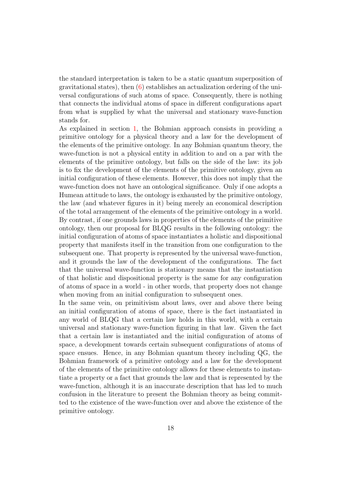the standard interpretation is taken to be a static quantum superposition of gravitational states), then  $(6)$  establishes an actualization ordering of the universal configurations of such atoms of space. Consequently, there is nothing that connects the individual atoms of space in different configurations apart from what is supplied by [w](#page-12-0)hat the universal and stationary wave-function stands for.

As explained in section 1, the Bohmian approach consists in providing a primitive ontology for a physical theory and a law for the development of the elements of the primitive ontology. In any Bohmian quantum theory, the wave-function is not a p[hy](#page-0-0)sical entity in addition to and on a par with the elements of the primitive ontology, but falls on the side of the law: its job is to fix the development of the elements of the primitive ontology, given an initial configuration of these elements. However, this does not imply that the wave-function does not have an ontological significance. Only if one adopts a Humean attitude to laws, the ontology is exhausted by the primitive ontology, the law (and whatever figures in it) being merely an economical description of the total arrangement of the elements of the primitive ontology in a world. By contrast, if one grounds laws in properties of the elements of the primitive ontology, then our proposal for BLQG results in the following ontology: the initial configuration of atoms of space instantiates a holistic and dispositional property that manifests itself in the transition from one configuration to the subsequent one. That property is represented by the universal wave-function, and it grounds the law of the development of the configurations. The fact that the universal wave-function is stationary means that the instantiation of that holistic and dispositional property is the same for any configuration of atoms of space in a world - in other words, that property does not change when moving from an initial configuration to subsequent ones.

In the same vein, on primitivism about laws, over and above there being an initial configuration of atoms of space, there is the fact instantiated in any world of BLQG that a certain law holds in this world, with a certain universal and stationary wave-function figuring in that law. Given the fact that a certain law is instantiated and the initial configuration of atoms of space, a development towards certain subsequent configurations of atoms of space ensues. Hence, in any Bohmian quantum theory including QG, the Bohmian framework of a primitive ontology and a law for the development of the elements of the primitive ontology allows for these elements to instantiate a property or a fact that grounds the law and that is represented by the wave-function, although it is an inaccurate description that has led to much confusion in the literature to present the Bohmian theory as being committed to the existence of the wave-function over and above the existence of the primitive ontology.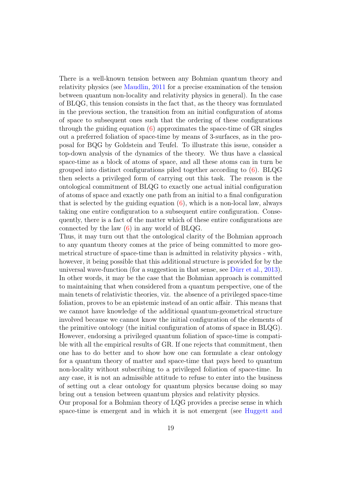There is a well-known tension between any Bohmian quantum theory and relativity physics (see Maudlin, 2011 for a precise examination of the tension between quantum non-locality and relativity physics in general). In the case of BLQG, this tension consists in the fact that, as the theory was formulated in the previous sectio[n, the transitio](#page-21-8)n from an initial configuration of atoms of space to subsequent ones such that the ordering of these configurations through the guiding equation  $(6)$  approximates the space-time of GR singles out a preferred foliation of space-time by means of 3-surfaces, as in the proposal for BQG by Goldstein and Teufel. To illustrate this issue, consider a top-down analysis of the dyna[m](#page-12-0)ics of the theory. We thus have a classical space-time as a block of atoms of space, and all these atoms can in turn be grouped into distinct configurations piled together according to  $(6)$ . BLQG then selects a privileged form of carrying out this task. The reason is the ontological commitment of BLQG to exactly one actual initial configuration of atoms of space and exactly one path from an initial to a final co[nfi](#page-12-0)guration that is selected by the guiding equation  $(6)$ , which is a non-local law, always taking one entire configuration to a subsequent entire configuration. Consequently, there is a fact of the matter which of these entire configurations are connected by the law  $(6)$  in any world of [B](#page-12-0)LQG.

Thus, it may turn out that the ontological clarity of the Bohmian approach to any quantum theory comes at the price of being committed to more geometrical structure of s[pa](#page-12-0)ce-time than is admitted in relativity physics - with, however, it being possible that this additional structure is provided for by the universal wave-function (for a suggestion in that sense, see Dürr et al., 2013). In other words, it may be the case that the Bohmian approach is committed to maintaining that when considered from a quantum perspective, one of the main tenets of relativistic theories, viz. the absence of a pri[vileged space-tim](#page-21-9)e foliation, proves to be an epistemic instead of an ontic affair. This means that we cannot have knowledge of the additional quantum-geometrical structure involved because we cannot know the initial configuration of the elements of the primitive ontology (the initial configuration of atoms of space in BLQG). However, endorsing a privileged quantum foliation of space-time is compatible with all the empirical results of GR. If one rejects that commitment, then one has to do better and to show how one can formulate a clear ontology for a quantum theory of matter and space-time that pays heed to quantum non-locality without subscribing to a privileged foliation of space-time. In any case, it is not an admissible attitude to refuse to enter into the business of setting out a clear ontology for quantum physics because doing so may bring out a tension between quantum physics and relativity physics.

Our proposal for a Bohmian theory of LQG provides a precise sense in which space-time is emergent and in which it is not emergent (see Huggett and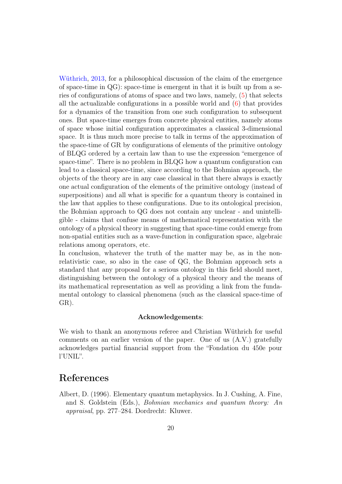Wüthrich, 2013, for a philosophical discussion of the claim of the emergence of space-time in QG): space-time is emergent in that it is built up from a series of configurations of atoms of space and two laws, namely, (5) that selects [all the actualiza](#page-21-10)ble configurations in a possible world and (6) that provides for a dynamics of the transition from one such configuration to subsequent ones. But space-time emerges from concrete physical entities, [n](#page-11-0)amely atoms of space whose initial configuration approximates a classic[al](#page-12-0) 3-dimensional space. It is thus much more precise to talk in terms of the approximation of the space-time of GR by configurations of elements of the primitive ontology of BLQG ordered by a certain law than to use the expression "emergence of space-time". There is no problem in BLQG how a quantum configuration can lead to a classical space-time, since according to the Bohmian approach, the objects of the theory are in any case classical in that there always is exactly one actual configuration of the elements of the primitive ontology (instead of superpositions) and all what is specific for a quantum theory is contained in the law that applies to these configurations. Due to its ontological precision, the Bohmian approach to QG does not contain any unclear - and unintelligible - claims that confuse means of mathematical representation with the ontology of a physical theory in suggesting that space-time could emerge from non-spatial entities such as a wave-function in configuration space, algebraic relations among operators, etc.

In conclusion, whatever the truth of the matter may be, as in the nonrelativistic case, so also in the case of QG, the Bohmian approach sets a standard that any proposal for a serious ontology in this field should meet, distinguishing between the ontology of a physical theory and the means of its mathematical representation as well as providing a link from the fundamental ontology to classical phenomena (such as the classical space-time of GR).

#### Acknowledgements:

We wish to thank an anonymous referee and Christian Wüthrich for useful comments on an earlier version of the paper. One of us (A.V.) gratefully acknowledges partial financial support from the "Fondation du 450e pour l'UNIL".

## References

<span id="page-19-0"></span>Albert, D. (1996). Elementary quantum metaphysics. In J. Cushing, A. Fine, and S. Goldstein (Eds.), *Bohmian mechanics and quantum theory: An appraisal*, pp. 277–284. Dordrecht: Kluwer.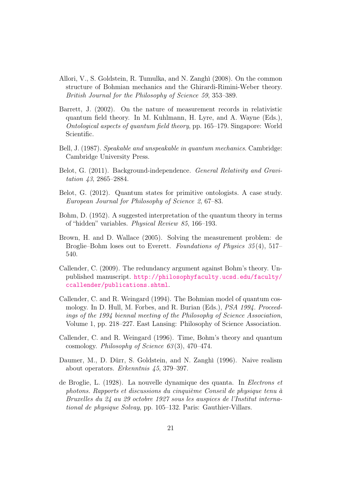- Allori, V., S. Goldstein, R. Tumulka, and N. Zanghì (2008). On the common structure of Bohmian mechanics and the Ghirardi-Rimini-Weber theory. *British Journal for the Philosophy of Science 59*, 353–389.
- <span id="page-20-0"></span>Barrett, J. (2002). On the nature of measurement records in relativistic quantum field theory. In M. Kuhlmann, H. Lyre, and A. Wayne (Eds.), *Ontological aspects of quantum field theory*, pp. 165–179. Singapore: World Scientific.
- <span id="page-20-7"></span>Bell, J. (1987). *Speakable and unspeakable in quantum mechanics*. Cambridge: Cambridge University Press.
- <span id="page-20-3"></span>Belot, G. (2011). Background-independence. *General Relativity and Gravitation 43*, 2865–2884.
- <span id="page-20-11"></span>Belot, G. (2012). Quantum states for primitive ontologists. A case study. *European Journal for Philosophy of Science 2*, 67–83.
- <span id="page-20-6"></span>Bohm, D. (1952). A suggested interpretation of the quantum theory in terms of "hidden" variables. *Physical Review 85*, 166–193.
- <span id="page-20-2"></span>Brown, H. and D. Wallace (2005). Solving the measurement problem: de Broglie–Bohm loses out to Everett. *Foundations of Physics 35* (4), 517– 540.
- <span id="page-20-4"></span>Callender, C. (2009). The redundancy argument against Bohm's theory. Unpublished manuscript. http://philosophyfaculty.ucsd.edu/faculty/ ccallender/publications.shtml.
- <span id="page-20-5"></span>Callender, C. and R. Weingard (1994). The Bohmian model of quantum cosmology. In D. Hull, M. [Forbes, and R. Burian \(Eds.\),](http://philosophyfaculty.ucsd.edu/faculty/ccallender/publications.shtml) *PSA 1994. Proceed[ings of the 1994 biennal meeting of](http://philosophyfaculty.ucsd.edu/faculty/ccallender/publications.shtml) the Philosophy of Science Association*, Volume 1, pp. 218–227. East Lansing: Philosophy of Science Association.
- <span id="page-20-8"></span>Callender, C. and R. Weingard (1996). Time, Bohm's theory and quantum cosmology. *Philosophy of Science 63* (3), 470–474.
- <span id="page-20-9"></span>Daumer, M., D. Dürr, S. Goldstein, and N. Zanghì (1996). Naive realism about operators. *Erkenntnis 45*, 379–397.
- <span id="page-20-10"></span><span id="page-20-1"></span>de Broglie, L. (1928). La nouvelle dynamique des quanta. In *Electrons et photons. Rapports et discussions du cinquième Conseil de physique tenu à Bruxelles du 24 au 29 octobre 1927 sous les auspices de l'Institut international de physique Solvay*, pp. 105–132. Paris: Gauthier-Villars.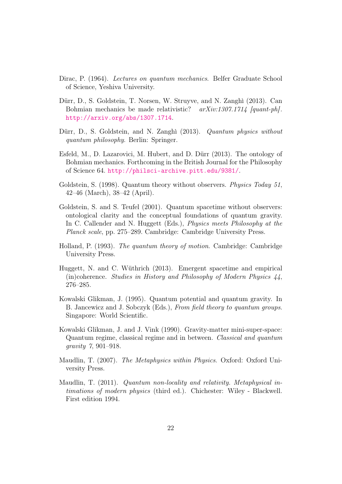- Dirac, P. (1964). *Lectures on quantum mechanics*. Belfer Graduate School of Science, Yeshiva University.
- <span id="page-21-7"></span>Dürr, D., S. Goldstein, T. Norsen, W. Struyve, and N. Zanghì (2013). Can Bohmian mechanics be made relativistic? *arXiv:1307.1714 [quant-ph]*. http://arxiv.org/abs/1307.1714.
- <span id="page-21-9"></span>Dürr, D., S. Goldstein, and N. Zanghì (2013). *Quantum physics without [quantum philosophy](http://arxiv.org/abs/1307.1714)*. Berlin: Springer.
- <span id="page-21-1"></span>Esfeld, M., D. Lazarovici, M. Hubert, and D. Dürr (2013). The ontology of Bohmian mechanics. Forthcoming in the British Journal for the Philosophy of Science 64. http://philsci-archive.pitt.edu/9381/.
- <span id="page-21-2"></span>Goldstein, S. (1998). Quantum theory without observers. *Physics Today 51*, 42–46 (March[\), 38–42 \(April\).](http://philsci-archive.pitt.edu/9381/)
- <span id="page-21-0"></span>Goldstein, S. and S. Teufel (2001). Quantum spacetime without observers: ontological clarity and the conceptual foundations of quantum gravity. In C. Callender and N. Huggett (Eds.), *Physics meets Philosophy at the Planck scale*, pp. 275–289. Cambridge: Cambridge University Press.
- Holland, P. (1993). *The quantum theory of motion*. Cambridge: Cambridge University Press.
- <span id="page-21-5"></span>Huggett, N. and C. Wüthrich (2013). Emergent spacetime and empirical (in)coherence. *Studies in History and Philosophy of Modern Physics 44*, 276–285.
- <span id="page-21-10"></span>Kowalski Glikman, J. (1995). Quantum potential and quantum gravity. In B. Jancewicz and J. Sobczyk (Eds.), *From field theory to quantum groups*. Singapore: World Scientific.
- <span id="page-21-6"></span>Kowalski Glikman, J. and J. Vink (1990). Gravity-matter mini-super-space: Quantum regime, classical regime and in between. *Classical and quantum gravity 7*, 901–918.
- <span id="page-21-4"></span>Maudlin, T. (2007). *The Metaphysics within Physics*. Oxford: Oxford University Press.
- <span id="page-21-8"></span><span id="page-21-3"></span>Maudlin, T. (2011). *Quantum non-locality and relativity. Metaphysical intimations of modern physics* (third ed.). Chichester: Wiley - Blackwell. First edition 1994.